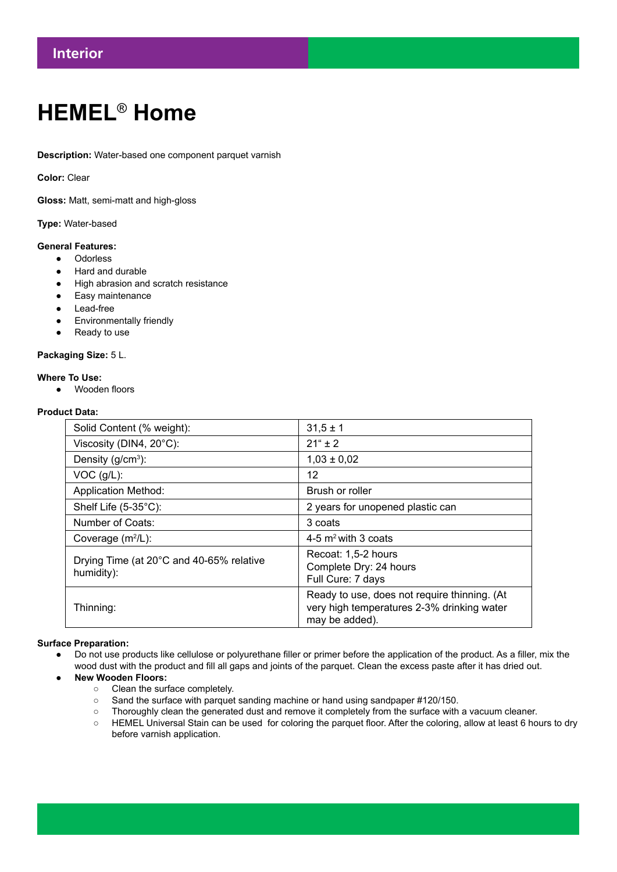# **HEMEL**® **Home**

**Description:** Water-based one component parquet varnish

**Color:** Clear

**Gloss:** Matt, semi-matt and high-gloss

**Type:** Water-based

### **General Features:**

- Odorless
- Hard and durable
- High abrasion and scratch resistance
- Easy maintenance
- Lead-free
- Environmentally friendly
- Ready to use

#### **Packaging Size:** 5 L.

#### **Where To Use:**

● Wooden floors

## **Product Data:**

| Solid Content (% weight):                              | $31,5 \pm 1$                                                                                                 |
|--------------------------------------------------------|--------------------------------------------------------------------------------------------------------------|
| Viscosity (DIN4, 20°C):                                | $21^{\circ}$ ± 2                                                                                             |
| Density ( $g/cm3$ ):                                   | $1,03 \pm 0,02$                                                                                              |
| $VOC$ ( $g/L$ ):                                       | 12                                                                                                           |
| <b>Application Method:</b>                             | Brush or roller                                                                                              |
| Shelf Life $(5-35^{\circ}C)$ :                         | 2 years for unopened plastic can                                                                             |
| Number of Coats:                                       | 3 coats                                                                                                      |
| Coverage $(m^2/L)$ :                                   | 4-5 $m2$ with 3 coats                                                                                        |
| Drying Time (at 20°C and 40-65% relative<br>humidity): | Recoat: 1,5-2 hours<br>Complete Dry: 24 hours<br>Full Cure: 7 days                                           |
| Thinning:                                              | Ready to use, does not require thinning. (At<br>very high temperatures 2-3% drinking water<br>may be added). |

## **Surface Preparation:**

- Do not use products like cellulose or polyurethane filler or primer before the application of the product. As a filler, mix the wood dust with the product and fill all gaps and joints of the parquet. Clean the excess paste after it has dried out.
- **● New Wooden Floors:**
	- Clean the surface completely.
	- Sand the surface with parquet sanding machine or hand using sandpaper #120/150.
	- Thoroughly clean the generated dust and remove it completely from the surface with a vacuum cleaner.
	- HEMEL Universal Stain can be used for coloring the parquet floor. After the coloring, allow at least 6 hours to dry before varnish application.